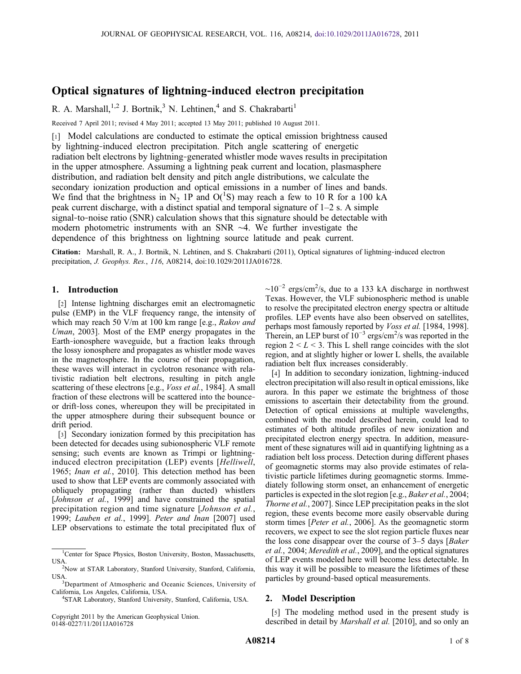# Optical signatures of lightning‐induced electron precipitation

R. A. Marshall,<sup>1,2</sup> J. Bortnik,<sup>3</sup> N. Lehtinen,<sup>4</sup> and S. Chakrabarti<sup>1</sup>

Received 7 April 2011; revised 4 May 2011; accepted 13 May 2011; published 10 August 2011.

[1] Model calculations are conducted to estimate the optical emission brightness caused by lightning‐induced electron precipitation. Pitch angle scattering of energetic radiation belt electrons by lightning‐generated whistler mode waves results in precipitation in the upper atmosphere. Assuming a lightning peak current and location, plasmasphere distribution, and radiation belt density and pitch angle distributions, we calculate the secondary ionization production and optical emissions in a number of lines and bands. We find that the brightness in N<sub>2</sub> 1P and O(<sup>1</sup>S) may reach a few to 10 R for a 100 kA peak current discharge, with a distinct spatial and temporal signature of 1–2 s. A simple signal-to-noise ratio (SNR) calculation shows that this signature should be detectable with modern photometric instruments with an SNR ∼4. We further investigate the dependence of this brightness on lightning source latitude and peak current.

Citation: Marshall, R. A., J. Bortnik, N. Lehtinen, and S. Chakrabarti (2011), Optical signatures of lightning-induced electron precipitation, J. Geophys. Res., 116, A08214, doi:10.1029/2011JA016728.

# 1. Introduction

[2] Intense lightning discharges emit an electromagnetic pulse (EMP) in the VLF frequency range, the intensity of which may reach 50 V/m at 100 km range [e.g., Rakov and Uman, 2003]. Most of the EMP energy propagates in the Earth-ionosphere waveguide, but a fraction leaks through the lossy ionosphere and propagates as whistler mode waves in the magnetosphere. In the course of their propagation, these waves will interact in cyclotron resonance with relativistic radiation belt electrons, resulting in pitch angle scattering of these electrons [e.g., *Voss et al.*, 1984]. A small fraction of these electrons will be scattered into the bounceor drift‐loss cones, whereupon they will be precipitated in the upper atmosphere during their subsequent bounce or drift period.

[3] Secondary ionization formed by this precipitation has been detected for decades using subionospheric VLF remote sensing; such events are known as Trimpi or lightninginduced electron precipitation (LEP) events [Helliwell, 1965; Inan et al., 2010]. This detection method has been used to show that LEP events are commonly associated with obliquely propagating (rather than ducted) whistlers [Johnson et al., 1999] and have constrained the spatial precipitation region and time signature [Johnson et al., 1999; Lauben et al., 1999]. Peter and Inan [2007] used LEP observations to estimate the total precipitated flux of

Copyright 2011 by the American Geophysical Union. 0148‐0227/11/2011JA016728

 $\sim 10^{-2}$  ergs/cm<sup>2</sup>/s, due to a 133 kA discharge in northwest Texas. However, the VLF subionospheric method is unable to resolve the precipitated electron energy spectra or altitude profiles. LEP events have also been observed on satellites, perhaps most famously reported by *Voss et al.* [1984, 1998]. Therein, an LEP burst of  $10^{-3}$  ergs/cm<sup>2</sup>/s was reported in the region  $2 < L < 3$ . This L shell range coincides with the slot region, and at slightly higher or lower L shells, the available radiation belt flux increases considerably.

[4] In addition to secondary ionization, lightning-induced electron precipitation will also result in optical emissions, like aurora. In this paper we estimate the brightness of those emissions to ascertain their detectability from the ground. Detection of optical emissions at multiple wavelengths, combined with the model described herein, could lead to estimates of both altitude profiles of new ionization and precipitated electron energy spectra. In addition, measurement of these signatures will aid in quantifying lightning as a radiation belt loss process. Detection during different phases of geomagnetic storms may also provide estimates of relativistic particle lifetimes during geomagnetic storms. Immediately following storm onset, an enhancement of energetic particles is expected in the slot region [e.g., *Baker et al.*, 2004; Thorne et al., 2007]. Since LEP precipitation peaks in the slot region, these events become more easily observable during storm times [*Peter et al.*, 2006]. As the geomagnetic storm recovers, we expect to see the slot region particle fluxes near the loss cone disappear over the course of 3–5 days [Baker et al., 2004; Meredith et al., 2009], and the optical signatures of LEP events modeled here will become less detectable. In this way it will be possible to measure the lifetimes of these particles by ground‐based optical measurements.

# 2. Model Description

[5] The modeling method used in the present study is described in detail by *Marshall et al.* [2010], and so only an

<sup>&</sup>lt;sup>1</sup>Center for Space Physics, Boston University, Boston, Massachusetts, USA. <sup>2</sup> Now at STAR Laboratory, Stanford University, Stanford, California,

USA.

<sup>&</sup>lt;sup>3</sup>Department of Atmospheric and Oceanic Sciences, University of California, Los Angeles, California, USA. <sup>4</sup>

STAR Laboratory, Stanford University, Stanford, California, USA.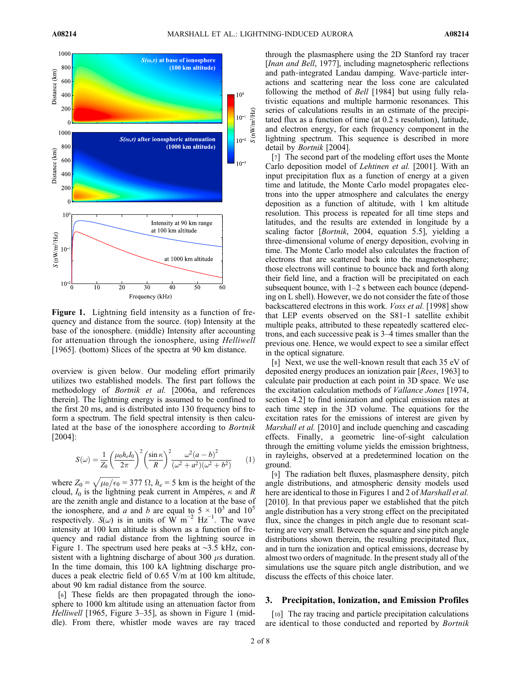

Figure 1. Lightning field intensity as a function of frequency and distance from the source. (top) Intensity at the base of the ionosphere. (middle) Intensity after accounting for attenuation through the ionosphere, using Helliwell [1965]. (bottom) Slices of the spectra at 90 km distance.

overview is given below. Our modeling effort primarily utilizes two established models. The first part follows the methodology of Bortnik et al. [2006a, and references therein]. The lightning energy is assumed to be confined to the first 20 ms, and is distributed into 130 frequency bins to form a spectrum. The field spectral intensity is then calculated at the base of the ionosphere according to Bortnik [2004]:

$$
S(\omega) = \frac{1}{Z_0} \left( \frac{\mu_0 h_e I_0}{2\pi} \right)^2 \left( \frac{\sin \kappa}{R} \right)^2 \frac{\omega^2 (a - b)^2}{(\omega^2 + a^2)(\omega^2 + b^2)} \tag{1}
$$

where  $Z_0 = \sqrt{\mu_0/\epsilon_0} = 377 \Omega$ ,  $h_e = 5$  km is the height of the cloud,  $I_0$  is the lightning peak current in Ampéres,  $\kappa$  and R are the zenith angle and distance to a location at the base of the ionosphere, and a and b are equal to  $5 \times 10^3$  and  $10^5$ respectively.  $S(\omega)$  is in units of W m<sup>-2</sup> Hz<sup>-1</sup>. The wave intensity at 100 km altitude is shown as a function of frequency and radial distance from the lightning source in Figure 1. The spectrum used here peaks at ∼3.5 kHz, consistent with a lightning discharge of about 300  $\mu$ s duration. In the time domain, this 100 kA lightning discharge produces a peak electric field of 0.65 V/m at 100 km altitude, about 90 km radial distance from the source.

[6] These fields are then propagated through the ionosphere to 1000 km altitude using an attenuation factor from Helliwell [1965, Figure 3–35], as shown in Figure 1 (middle). From there, whistler mode waves are ray traced through the plasmasphere using the 2D Stanford ray tracer [*Inan and Bell*, 1977], including magnetospheric reflections and path‐integrated Landau damping. Wave‐particle interactions and scattering near the loss cone are calculated following the method of *Bell* [1984] but using fully relativistic equations and multiple harmonic resonances. This series of calculations results in an estimate of the precipitated flux as a function of time (at 0.2 s resolution), latitude, and electron energy, for each frequency component in the lightning spectrum. This sequence is described in more detail by Bortnik [2004].

[7] The second part of the modeling effort uses the Monte Carlo deposition model of Lehtinen et al. [2001]. With an input precipitation flux as a function of energy at a given time and latitude, the Monte Carlo model propagates electrons into the upper atmosphere and calculates the energy deposition as a function of altitude, with 1 km altitude resolution. This process is repeated for all time steps and latitudes, and the results are extended in longitude by a scaling factor [Bortnik, 2004, equation 5.5], yielding a three‐dimensional volume of energy deposition, evolving in time. The Monte Carlo model also calculates the fraction of electrons that are scattered back into the magnetosphere; those electrons will continue to bounce back and forth along their field line, and a fraction will be precipitated on each subsequent bounce, with 1–2 s between each bounce (depending on L shell). However, we do not consider the fate of those backscattered electrons in this work. Voss et al. [1998] show that LEP events observed on the S81‐1 satellite exhibit multiple peaks, attributed to these repeatedly scattered electrons, and each successive peak is 3–4 times smaller than the previous one. Hence, we would expect to see a similar effect in the optical signature.

[8] Next, we use the well-known result that each 35 eV of deposited energy produces an ionization pair [Rees, 1963] to calculate pair production at each point in 3D space. We use the excitation calculation methods of Vallance Jones [1974, section 4.2] to find ionization and optical emission rates at each time step in the 3D volume. The equations for the excitation rates for the emissions of interest are given by Marshall et al. [2010] and include quenching and cascading effects. Finally, a geometric line‐of‐sight calculation through the emitting volume yields the emission brightness, in rayleighs, observed at a predetermined location on the ground.

[9] The radiation belt fluxes, plasmasphere density, pitch angle distributions, and atmospheric density models used here are identical to those in Figures 1 and 2 of *Marshall et al.* [2010]. In that previous paper we established that the pitch angle distribution has a very strong effect on the precipitated flux, since the changes in pitch angle due to resonant scattering are very small. Between the square and sine pitch angle distributions shown therein, the resulting precipitated flux, and in turn the ionization and optical emissions, decrease by almost two orders of magnitude. In the present study all of the simulations use the square pitch angle distribution, and we discuss the effects of this choice later.

## 3. Precipitation, Ionization, and Emission Profiles

[10] The ray tracing and particle precipitation calculations are identical to those conducted and reported by Bortnik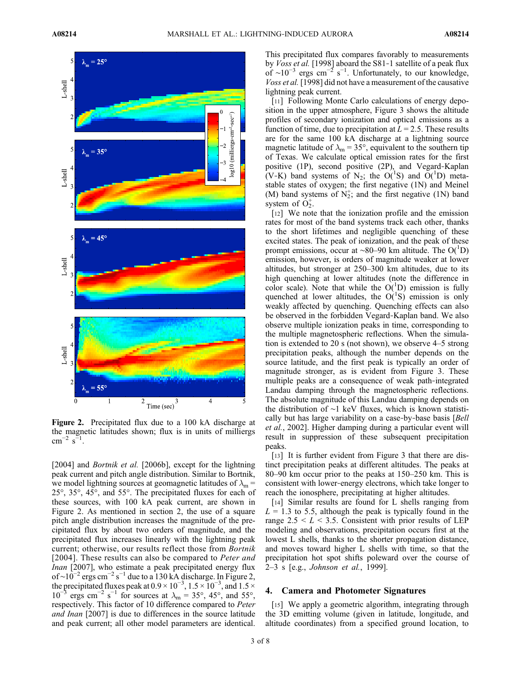

Figure 2. Precipitated flux due to a 100 kA discharge at the magnetic latitudes shown; flux is in units of milliergs  $\text{cm}^{-2} \text{ s}^{-1}$ .

[2004] and *Bortnik et al.* [2006b], except for the lightning peak current and pitch angle distribution. Similar to Bortnik, we model lightning sources at geomagnetic latitudes of  $\lambda_m$  = 25°, 35°, 45°, and 55°. The precipitated fluxes for each of these sources, with 100 kA peak current, are shown in Figure 2. As mentioned in section 2, the use of a square pitch angle distribution increases the magnitude of the precipitated flux by about two orders of magnitude, and the precipitated flux increases linearly with the lightning peak current; otherwise, our results reflect those from Bortnik [2004]. These results can also be compared to *Peter and* Inan [2007], who estimate a peak precipitated energy flux of ~ $10^{-2}$  ergs cm<sup>-2</sup> s<sup>-1</sup> due to a 130 kA discharge. In Figure 2, the precipitated fluxes peak at  $0.9 \times 10^{-3}$ ,  $1.5 \times 10^{-3}$ , and  $1.5 \times$  $10^{-3}$  ergs cm<sup>-2</sup> s<sup>-1</sup> for sources at  $\lambda_{\rm m} = 35^{\circ}$ , 45°, and 55°, respectively. This factor of 10 difference compared to Peter and Inan [2007] is due to differences in the source latitude and peak current; all other model parameters are identical.

This precipitated flux compares favorably to measurements by *Voss et al.* [1998] aboard the S81-1 satellite of a peak flux of ~10<sup>-3</sup> ergs cm<sup>-2</sup> s<sup>-1</sup>. Unfortunately, to our knowledge, Voss et al. [1998] did not have a measurement of the causative lightning peak current.

[11] Following Monte Carlo calculations of energy deposition in the upper atmosphere, Figure 3 shows the altitude profiles of secondary ionization and optical emissions as a function of time, due to precipitation at  $L = 2.5$ . These results are for the same 100 kA discharge at a lightning source magnetic latitude of  $\lambda_{\rm m} = 35^{\circ}$ , equivalent to the southern tip of Texas. We calculate optical emission rates for the first positive (1P), second positive (2P), and Vegard‐Kaplan (V-K) band systems of N<sub>2</sub>; the O(<sup>1</sup>S) and O(<sup>1</sup>D) metastable states of oxygen; the first negative (1N) and Meinel (M) band systems of  $N_2^+$ ; and the first negative (1N) band system of  $O_2^+$ .

[12] We note that the ionization profile and the emission rates for most of the band systems track each other, thanks to the short lifetimes and negligible quenching of these excited states. The peak of ionization, and the peak of these prompt emissions, occur at ~80–90 km altitude. The O(<sup>1</sup>D) emission, however, is orders of magnitude weaker at lower altitudes, but stronger at 250–300 km altitudes, due to its high quenching at lower altitudes (note the difference in color scale). Note that while the  $O(^{1}D)$  emission is fully quenched at lower altitudes, the  $O(^{1}S)$  emission is only weakly affected by quenching. Quenching effects can also be observed in the forbidden Vegard‐Kaplan band. We also observe multiple ionization peaks in time, corresponding to the multiple magnetospheric reflections. When the simulation is extended to 20 s (not shown), we observe 4–5 strong precipitation peaks, although the number depends on the source latitude, and the first peak is typically an order of magnitude stronger, as is evident from Figure 3. These multiple peaks are a consequence of weak path‐integrated Landau damping through the magnetospheric reflections. The absolute magnitude of this Landau damping depends on the distribution of ∼1 keV fluxes, which is known statistically but has large variability on a case-by-base basis [Bell] et al., 2002]. Higher damping during a particular event will result in suppression of these subsequent precipitation peaks.

[13] It is further evident from Figure 3 that there are distinct precipitation peaks at different altitudes. The peaks at 80–90 km occur prior to the peaks at 150–250 km. This is consistent with lower‐energy electrons, which take longer to reach the ionosphere, precipitating at higher altitudes.

[14] Similar results are found for L shells ranging from  $L = 1.3$  to 5.5, although the peak is typically found in the range  $2.5 \leq L \leq 3.5$ . Consistent with prior results of LEP modeling and observations, precipitation occurs first at the lowest L shells, thanks to the shorter propagation distance, and moves toward higher L shells with time, so that the precipitation hot spot shifts poleward over the course of 2–3 s [e.g., Johnson et al., 1999].

#### 4. Camera and Photometer Signatures

[15] We apply a geometric algorithm, integrating through the 3D emitting volume (given in latitude, longitude, and altitude coordinates) from a specified ground location, to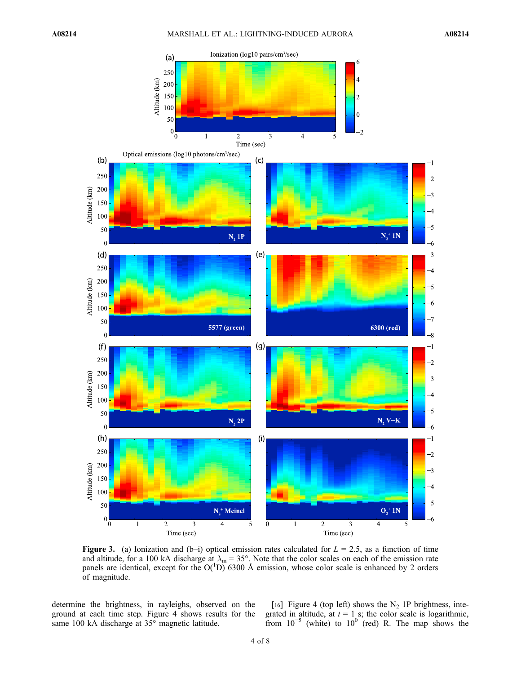

**Figure 3.** (a) Ionization and (b–i) optical emission rates calculated for  $L = 2.5$ , as a function of time and altitude, for a 100 kA discharge at  $\lambda_m = 35^\circ$ . Note that the color scales on each of the emission rate panels are identical, except for the  $O(^{1}D)$  6300 Å emission, whose color scale is enhanced by 2 orders of magnitude.

determine the brightness, in rayleighs, observed on the ground at each time step. Figure 4 shows results for the same 100 kA discharge at 35° magnetic latitude.

[16] Figure 4 (top left) shows the  $N_2$  1P brightness, integrated in altitude, at  $t = 1$  s; the color scale is logarithmic, from  $10^{-5}$  (white) to  $10^{0}$  (red) R. The map shows the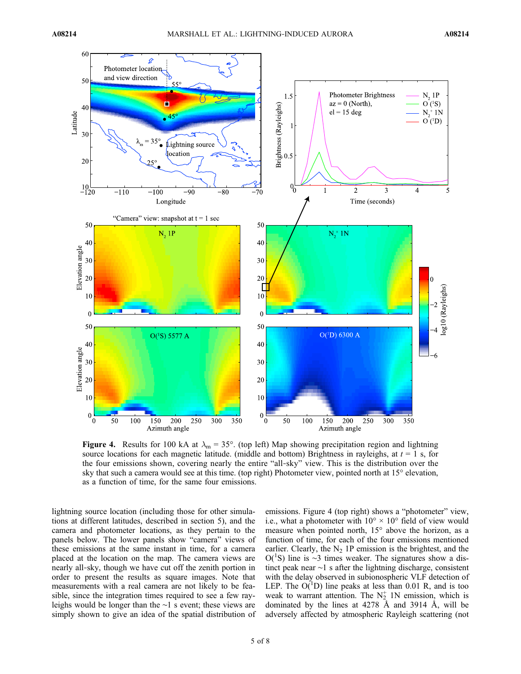

Figure 4. Results for 100 kA at  $\lambda_m = 35^\circ$ . (top left) Map showing precipitation region and lightning source locations for each magnetic latitude. (middle and bottom) Brightness in rayleighs, at  $t = 1$  s, for the four emissions shown, covering nearly the entire "all‐sky" view. This is the distribution over the sky that such a camera would see at this time. (top right) Photometer view, pointed north at 15° elevation, as a function of time, for the same four emissions.

lightning source location (including those for other simulations at different latitudes, described in section 5), and the camera and photometer locations, as they pertain to the panels below. The lower panels show "camera" views of these emissions at the same instant in time, for a camera placed at the location on the map. The camera views are nearly all‐sky, though we have cut off the zenith portion in order to present the results as square images. Note that measurements with a real camera are not likely to be feasible, since the integration times required to see a few rayleighs would be longer than the ∼1 s event; these views are simply shown to give an idea of the spatial distribution of

emissions. Figure 4 (top right) shows a "photometer" view, i.e., what a photometer with  $10^{\circ} \times 10^{\circ}$  field of view would measure when pointed north, 15° above the horizon, as a function of time, for each of the four emissions mentioned earlier. Clearly, the  $N_2$  1P emission is the brightest, and the O(<sup>1</sup>S) line is ~3 times weaker. The signatures show a distinct peak near ∼1 s after the lightning discharge, consistent with the delay observed in subionospheric VLF detection of LEP. The  $O(^{1}D)$  line peaks at less than 0.01 R, and is too weak to warrant attention. The  $N_2^+$  1N emission, which is dominated by the lines at 4278 Å and 3914 Å, will be adversely affected by atmospheric Rayleigh scattering (not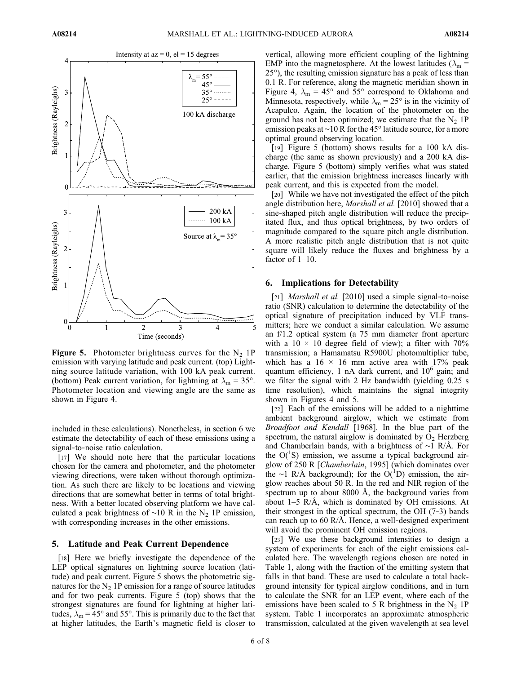

**Figure 5.** Photometer brightness curves for the  $N_2$  1P emission with varying latitude and peak current. (top) Lightning source latitude variation, with 100 kA peak current. (bottom) Peak current variation, for lightning at  $\lambda_m = 35^\circ$ . Photometer location and viewing angle are the same as shown in Figure 4.

included in these calculations). Nonetheless, in section 6 we estimate the detectability of each of these emissions using a signal‐to‐noise ratio calculation.

[17] We should note here that the particular locations chosen for the camera and photometer, and the photometer viewing directions, were taken without thorough optimization. As such there are likely to be locations and viewing directions that are somewhat better in terms of total brightness. With a better located observing platform we have calculated a peak brightness of ∼10 R in the N<sub>2</sub> 1P emission, with corresponding increases in the other emissions.

## 5. Latitude and Peak Current Dependence

[18] Here we briefly investigate the dependence of the LEP optical signatures on lightning source location (latitude) and peak current. Figure 5 shows the photometric signatures for the  $N<sub>2</sub>$  1P emission for a range of source latitudes and for two peak currents. Figure 5 (top) shows that the strongest signatures are found for lightning at higher latitudes,  $\lambda_m = 45^\circ$  and 55°. This is primarily due to the fact that at higher latitudes, the Earth's magnetic field is closer to

vertical, allowing more efficient coupling of the lightning EMP into the magnetosphere. At the lowest latitudes ( $\lambda_m$  = 25°), the resulting emission signature has a peak of less than 0.1 R. For reference, along the magnetic meridian shown in Figure 4,  $\lambda_{\rm m}$  = 45° and 55° correspond to Oklahoma and Minnesota, respectively, while  $\lambda_{\rm m} = 25^{\circ}$  is in the vicinity of Acapulco. Again, the location of the photometer on the ground has not been optimized; we estimate that the  $N_2$  1P emission peaks at ∼10 R for the 45° latitude source, for a more optimal ground observing location.

[19] Figure 5 (bottom) shows results for a 100 kA discharge (the same as shown previously) and a 200 kA discharge. Figure 5 (bottom) simply verifies what was stated earlier, that the emission brightness increases linearly with peak current, and this is expected from the model.

[20] While we have not investigated the effect of the pitch angle distribution here, *Marshall et al.* [2010] showed that a sine-shaped pitch angle distribution will reduce the precipitated flux, and thus optical brightness, by two orders of magnitude compared to the square pitch angle distribution. A more realistic pitch angle distribution that is not quite square will likely reduce the fluxes and brightness by a factor of 1–10.

# 6. Implications for Detectability

[21] *Marshall et al.* [2010] used a simple signal-to-noise ratio (SNR) calculation to determine the detectability of the optical signature of precipitation induced by VLF transmitters; here we conduct a similar calculation. We assume an f/1.2 optical system (a 75 mm diameter front aperture with a  $10 \times 10$  degree field of view); a filter with  $70\%$ transmission; a Hamamatsu R5900U photomultiplier tube, which has a  $16 \times 16$  mm active area with 17% peak quantum efficiency, 1 nA dark current, and  $10^6$  gain; and we filter the signal with 2 Hz bandwidth (yielding 0.25 s time resolution), which maintains the signal integrity shown in Figures 4 and 5.

[22] Each of the emissions will be added to a nighttime ambient background airglow, which we estimate from Broadfoot and Kendall [1968]. In the blue part of the spectrum, the natural airglow is dominated by  $O<sub>2</sub>$  Herzberg and Chamberlain bands, with a brightness of ∼1 R/Å. For the  $O(^{1}S)$  emission, we assume a typical background airglow of 250 R [Chamberlain, 1995] (which dominates over the ∼1 R/Å background); for the O(<sup>1</sup>D) emission, the airglow reaches about 50 R. In the red and NIR region of the spectrum up to about 8000 Å, the background varies from about  $1-5$  R/Å, which is dominated by OH emissions. At their strongest in the optical spectrum, the OH (7‐3) bands can reach up to 60 R/Å. Hence, a well-designed experiment will avoid the prominent OH emission regions.

[23] We use these background intensities to design a system of experiments for each of the eight emissions calculated here. The wavelength regions chosen are noted in Table 1, along with the fraction of the emitting system that falls in that band. These are used to calculate a total background intensity for typical airglow conditions, and in turn to calculate the SNR for an LEP event, where each of the emissions have been scaled to 5 R brightness in the  $N_2$  1P system. Table 1 incorporates an approximate atmospheric transmission, calculated at the given wavelength at sea level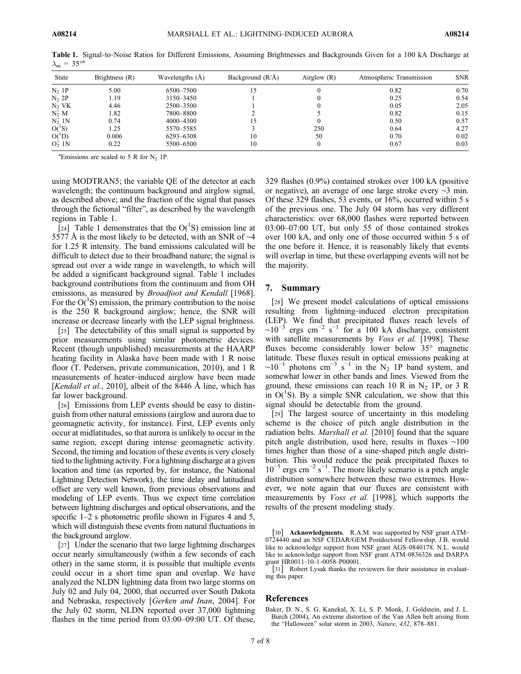| <b>State</b>   | Brightness (R) | Wavelengths $(A)$ | Background $(R/A)$ | Airglow $(R)$ | Atmospheric Transmission | <b>SNR</b> |
|----------------|----------------|-------------------|--------------------|---------------|--------------------------|------------|
| $N2$ 1P        | 5.00           | 6500-7500         | 15                 |               | 0.82                     | 0.70       |
| $N2$ 2P        | 1.19           | 3150-3450         |                    |               | 0.25                     | 0.54       |
| $N2$ VK        | 4.46           | 2500-3500         |                    |               | 0.05                     | 2.05       |
| $N_2^+ M$      | 1.82           | 7800-8800         |                    |               | 0.82                     | 0.15       |
| $N_2^+$ 1N     | 0.74           | 4000-4300         | 15                 |               | 0.50                     | 0.57       |
| $O(^1S)$       | 1.25           | 5570-5585         |                    | 250           | 0.64                     | 4.27       |
| $O(^1D)$       | 0.006          | 6293-6308         | 10                 | 50            | 0.70                     | 0.02       |
| $O_{2}^{+}$ 1N | 0.22           | 5500-6500         | 10                 |               | 0.67                     | 0.03       |

Table 1. Signal-to-Noise Ratios for Different Emissions, Assuming Brightnesses and Backgrounds Given for a 100 kA Discharge at  $\lambda_{\rm m} = 35^{\circ a}$ 

<sup>a</sup>Emissions are scaled to 5 R for  $N_2$  1P.

using MODTRAN5; the variable QE of the detector at each wavelength; the continuum background and airglow signal, as described above; and the fraction of the signal that passes through the fictional "filter", as described by the wavelength regions in Table 1.

[24] Table 1 demonstrates that the  $O(^{1}S)$  emission line at 5577 Å is the most likely to be detected, with an SNR of ∼4 for 1.25 R intensity. The band emissions calculated will be difficult to detect due to their broadband nature; the signal is spread out over a wide range in wavelength, to which will be added a significant background signal. Table 1 includes background contributions from the continuum and from OH emissions, as measured by *Broadfoot and Kendall* [1968]. For the  $O(^{1}S)$  emission, the primary contribution to the noise is the 250 R background airglow; hence, the SNR will increase or decrease linearly with the LEP signal brightness.

[25] The detectability of this small signal is supported by prior measurements using similar photometric devices. Recent (though unpublished) measurements at the HAARP heating facility in Alaska have been made with 1 R noise floor (T. Pedersen, private communication, 2010), and 1 R measurements of heater‐induced airglow have been made [*Kendall et al.*, 2010], albeit of the 8446 Å line, which has far lower background.

[26] Emissions from LEP events should be easy to distinguish from other natural emissions (airglow and aurora due to geomagnetic activity, for instance). First, LEP events only occur at midlatitudes, so that aurora is unlikely to occur in the same region, except during intense geomagnetic activity. Second, the timing and location of these events is very closely tied to the lightning activity. For a lightning discharge at a given location and time (as reported by, for instance, the National Lightning Detection Network), the time delay and latitudinal offset are very well known, from previous observations and modeling of LEP events. Thus we expect time correlation between lightning discharges and optical observations, and the specific 1–2 s photometric profile shown in Figures 4 and 5, which will distinguish these events from natural fluctuations in the background airglow.

[27] Under the scenario that two large lightning discharges occur nearly simultaneously (within a few seconds of each other) in the same storm, it is possible that multiple events could occur in a short time span and overlap. We have analyzed the NLDN lightning data from two large storms on July 02 and July 04, 2000, that occurred over South Dakota and Nebraska, respectively [Gerken and Inan, 2004]. For the July 02 storm, NLDN reported over 37,000 lightning flashes in the time period from 03:00–09:00 UT. Of these,

329 flashes (0.9%) contained strokes over 100 kA (positive or negative), an average of one large stroke every ∼3 min. Of these 329 flashes, 53 events, or 16%, occurred within 5 s of the previous one. The July 04 storm has very different characteristics: over 68,000 flashes were reported between 03:00–07:00 UT, but only 55 of those contained strokes over 100 kA, and only one of those occurred within 5 s of the one before it. Hence, it is reasonably likely that events will overlap in time, but these overlapping events will not be the majority.

#### 7. Summary

[28] We present model calculations of optical emissions resulting from lightning‐induced electron precipitation (LEP). We find that precipitated fluxes reach levels of  $\sim 10^{-3}$  ergs cm<sup>-2</sup> s<sup>-1</sup> for a 100 kA discharge, consistent with satellite measurements by *Voss et al.* [1998]. These fluxes become considerably lower below 35° magnetic latitude. These fluxes result in optical emissions peaking at  $\sim 10^{-1}$  photons cm<sup>-3</sup> s<sup>-1</sup> in the N<sub>2</sub> 1P band system, and somewhat lower in other bands and lines. Viewed from the ground, these emissions can reach 10 R in N<sub>2</sub> 1P, or 3 R in  $O(^{1}S)$ . By a simple SNR calculation, we show that this signal should be detectable from the ground.

[29] The largest source of uncertainty in this modeling scheme is the choice of pitch angle distribution in the radiation belts. *Marshall et al.* [2010] found that the square pitch angle distribution, used here, results in fluxes ∼100 times higher than those of a sine‐shaped pitch angle distribution. This would reduce the peak precipitated fluxes to  $10^{-5}$  ergs cm<sup>-2</sup> s<sup>-1</sup>. The more likely scenario is a pitch angle distribution somewhere between these two extremes. However, we note again that our fluxes are consistent with measurements by Voss et al. [1998], which supports the results of the present modeling study.

[30] **Acknowledgments.** R.A.M. was supported by NSF grant ATM-0724440 and an NSF CEDAR/GEM Postdoctoral Fellowship. J.B. would like to acknowledge support from NSF grant AGS‐0840178. N.L. would like to acknowledge support from NSF grant ATM‐0836326 and DARPA grant HR0011‐10‐1‐0058‐P00001.

[31] Robert Lysak thanks the reviewers for their assistance in evaluating this paper.

## References

Baker, D. N., S. G. Kanekal, X. Li, S. P. Monk, J. Goldstein, and J. L. Burch (2004), An extreme distortion of the Van Allen belt arising from the "Halloween" solar storm in 2003, Nature, 432, 878–881.